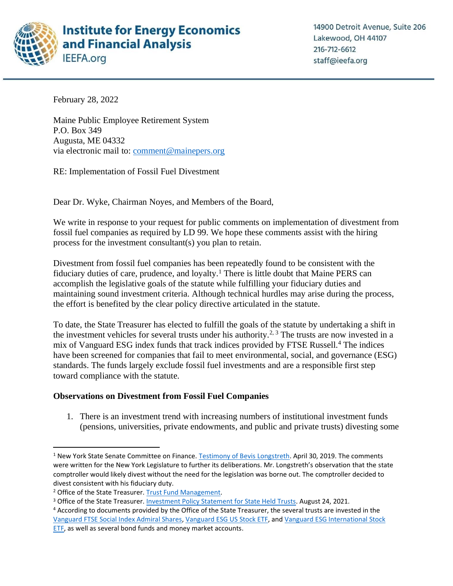

February 28, 2022

Maine Public Employee Retirement System P.O. Box 349 Augusta, ME 04332 via electronic mail to: [comment@mainepers.org](mailto:comment@mainepers.org)

RE: Implementation of Fossil Fuel Divestment

Dear Dr. Wyke, Chairman Noyes, and Members of the Board,

We write in response to your request for public comments on implementation of divestment from fossil fuel companies as required by LD 99. We hope these comments assist with the hiring process for the investment consultant(s) you plan to retain.

Divestment from fossil fuel companies has been repeatedly found to be consistent with the fiduciary duties of care, prudence, and loyalty.<sup>1</sup> There is little doubt that Maine PERS can accomplish the legislative goals of the statute while fulfilling your fiduciary duties and maintaining sound investment criteria. Although technical hurdles may arise during the process, the effort is benefited by the clear policy directive articulated in the statute.

To date, the State Treasurer has elected to fulfill the goals of the statute by undertaking a shift in the investment vehicles for several trusts under his authority.<sup>2, 3</sup> The trusts are now invested in a mix of Vanguard ESG index funds that track indices provided by FTSE Russell.<sup>4</sup> The indices have been screened for companies that fail to meet environmental, social, and governance (ESG) standards. The funds largely exclude fossil fuel investments and are a responsible first step toward compliance with the statute.

## **Observations on Divestment from Fossil Fuel Companies**

1. There is an investment trend with increasing numbers of institutional investment funds (pensions, universities, private endowments, and public and private trusts) divesting some

<sup>&</sup>lt;sup>1</sup> New York State Senate Committee on Finance. [Testimony of Bevis Longstreth.](https://www.nysenate.gov/sites/default/files/bevis_longstreth_decarbonization_panel.pdf) April 30, 2019. The comments were written for the New York Legislature to further its deliberations. Mr. Longstreth's observation that the state comptroller would likely divest without the need for the legislation was borne out. The comptroller decided to divest consistent with his fiduciary duty.

<sup>&</sup>lt;sup>2</sup> Office of the State Treasurer. [Trust Fund Management.](https://www.maine.gov/treasurer/cash-management/trust-fund-management)

<sup>&</sup>lt;sup>3</sup> Office of the State Treasurer. [Investment Policy Statement for State Held Trusts.](https://www.maine.gov/treasurer/sites/maine.gov.treasurer/files/inline-files/2021%20Trust%20Investment%20Policy.pdf) August 24, 2021.

<sup>4</sup> According to documents provided by the Office of the State Treasurer, the several trusts are invested in the [Vanguard FTSE Social Index Admiral Shares,](https://institutional.vanguard.com/iippdf/pdfs/FS513.pdf) [Vanguard ESG](https://institutional.vanguard.com/iippdf/pdfs/FS4393R.pdf) US Stock ETF, an[d Vanguard ESG International Stock](https://institutional.vanguard.com/iippdf/pdfs/FS4394R.pdf)  [ETF,](https://institutional.vanguard.com/iippdf/pdfs/FS4394R.pdf) as well as several bond funds and money market accounts.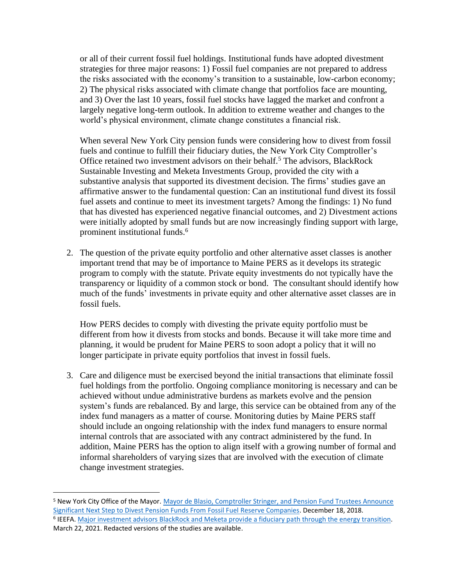or all of their current fossil fuel holdings. Institutional funds have adopted divestment strategies for three major reasons: 1) Fossil fuel companies are not prepared to address the risks associated with the economy's transition to a sustainable, low-carbon economy; 2) The physical risks associated with climate change that portfolios face are mounting, and 3) Over the last 10 years, fossil fuel stocks have lagged the market and confront a largely negative long-term outlook. In addition to extreme weather and changes to the world's physical environment, climate change constitutes a financial risk.

When several New York City pension funds were considering how to divest from fossil fuels and continue to fulfill their fiduciary duties, the New York City Comptroller's Office retained two investment advisors on their behalf.<sup>5</sup> The advisors, BlackRock Sustainable Investing and Meketa Investments Group, provided the city with a substantive analysis that supported its divestment decision. The firms' studies gave an affirmative answer to the fundamental question: Can an institutional fund divest its fossil fuel assets and continue to meet its investment targets? Among the findings: 1) No fund that has divested has experienced negative financial outcomes, and 2) Divestment actions were initially adopted by small funds but are now increasingly finding support with large, prominent institutional funds.<sup>6</sup>

2. The question of the private equity portfolio and other alternative asset classes is another important trend that may be of importance to Maine PERS as it develops its strategic program to comply with the statute. Private equity investments do not typically have the transparency or liquidity of a common stock or bond. The consultant should identify how much of the funds' investments in private equity and other alternative asset classes are in fossil fuels.

How PERS decides to comply with divesting the private equity portfolio must be different from how it divests from stocks and bonds. Because it will take more time and planning, it would be prudent for Maine PERS to soon adopt a policy that it will no longer participate in private equity portfolios that invest in fossil fuels.

3. Care and diligence must be exercised beyond the initial transactions that eliminate fossil fuel holdings from the portfolio. Ongoing compliance monitoring is necessary and can be achieved without undue administrative burdens as markets evolve and the pension system's funds are rebalanced. By and large, this service can be obtained from any of the index fund managers as a matter of course. Monitoring duties by Maine PERS staff should include an ongoing relationship with the index fund managers to ensure normal internal controls that are associated with any contract administered by the fund. In addition, Maine PERS has the option to align itself with a growing number of formal and informal shareholders of varying sizes that are involved with the execution of climate change investment strategies.

<sup>5</sup> New York City Office of the Mayor. [Mayor de Blasio, Comptroller Stringer, and Pension Fund Trustees Announce](https://www1.nyc.gov/office-of-the-mayor/news/602-18/mayor-de-blasio-comptroller-stringer-pension-fund-trustees-significant-next-step-to)  [Significant Next Step to Divest Pension Funds From Fossil Fuel Reserve Companies.](https://www1.nyc.gov/office-of-the-mayor/news/602-18/mayor-de-blasio-comptroller-stringer-pension-fund-trustees-significant-next-step-to) December 18, 2018. <sup>6</sup> IEEFA. Major investment advisors BlackRock and Meketa provide a fiduciary path through the energy transition. March 22, 2021. Redacted versions of the studies are available.